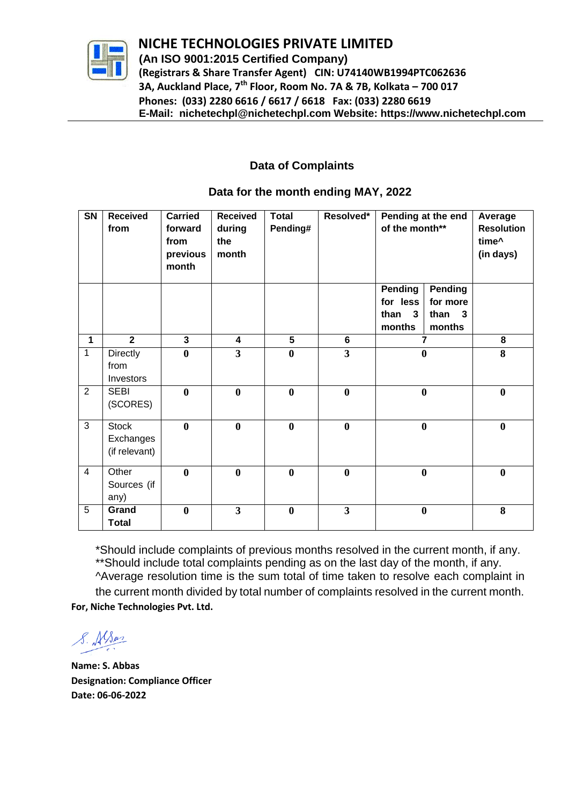

**NIC NICHE TECHNOLOGIES PRIVATE LIMITED (An ISO 9001:2015 Certified Company) (Registrars & Share Transfer Agent) CIN: U74140WB1994PTC062636 3A, Auckland Place, 7th Floor, Room No. 7A & 7B, Kolkata – 700 017 Phones: (033) 2280 6616 / 6617 / 6618 Fax: (033) 2280 6619** 

 **E-Mail: nichetechpl@nichetechpl.com Website: https://www.nichetechpl.com**

## **Data of Complaints**

| $\overline{\text{SN}}$ | <b>Received</b><br>from                    | <b>Carried</b><br>forward<br>from<br>previous<br>month | <b>Received</b><br>during<br>the<br>month | <b>Total</b><br>Pending# | Resolved*               | Pending at the end<br>of the month**                             | Average<br><b>Resolution</b><br>time^<br>(in days) |
|------------------------|--------------------------------------------|--------------------------------------------------------|-------------------------------------------|--------------------------|-------------------------|------------------------------------------------------------------|----------------------------------------------------|
|                        |                                            |                                                        |                                           |                          |                         | Pending<br><b>Pending</b><br>for less<br>for more                |                                                    |
|                        |                                            |                                                        |                                           |                          |                         | than<br>$\mathbf{3}$<br>than<br>$\mathbf{3}$<br>months<br>months |                                                    |
| 1                      | $\overline{2}$                             | $\overline{\mathbf{3}}$                                | $\overline{\mathbf{4}}$                   | $\overline{5}$           | $6\phantom{a}$          | $\overline{7}$                                                   | 8                                                  |
| $\mathbf{1}$           | Directly<br>from<br>Investors              | $\bf{0}$                                               | $\overline{\mathbf{3}}$                   | $\bf{0}$                 | $\overline{\mathbf{3}}$ | $\bf{0}$                                                         | 8                                                  |
| $\overline{2}$         | <b>SEBI</b><br>(SCORES)                    | $\bf{0}$                                               | $\bf{0}$                                  | $\mathbf{0}$             | $\bf{0}$                | $\bf{0}$                                                         | $\bf{0}$                                           |
| 3                      | <b>Stock</b><br>Exchanges<br>(if relevant) | $\bf{0}$                                               | $\bf{0}$                                  | $\mathbf{0}$             | $\bf{0}$                | $\bf{0}$                                                         | $\bf{0}$                                           |
| $\overline{4}$         | Other<br>Sources (if<br>any)               | $\bf{0}$                                               | $\boldsymbol{0}$                          | $\bf{0}$                 | $\boldsymbol{0}$        | $\bf{0}$                                                         | $\bf{0}$                                           |
| 5                      | Grand<br><b>Total</b>                      | $\bf{0}$                                               | $\overline{3}$                            | $\mathbf{0}$             | $\overline{\mathbf{3}}$ | $\bf{0}$                                                         | 8                                                  |

### **Data for the month ending MAY, 2022**

\*Should include complaints of previous months resolved in the current month, if any. \*\*Should include total complaints pending as on the last day of the month, if any. ^Average resolution time is the sum total of time taken to resolve each complaint in the current month divided by total number of complaints resolved in the current month. **For, Niche Technologies Pvt. Ltd.**

S. Alson

**Name: S. Abbas Designation: Compliance Officer Date: 06-06-2022**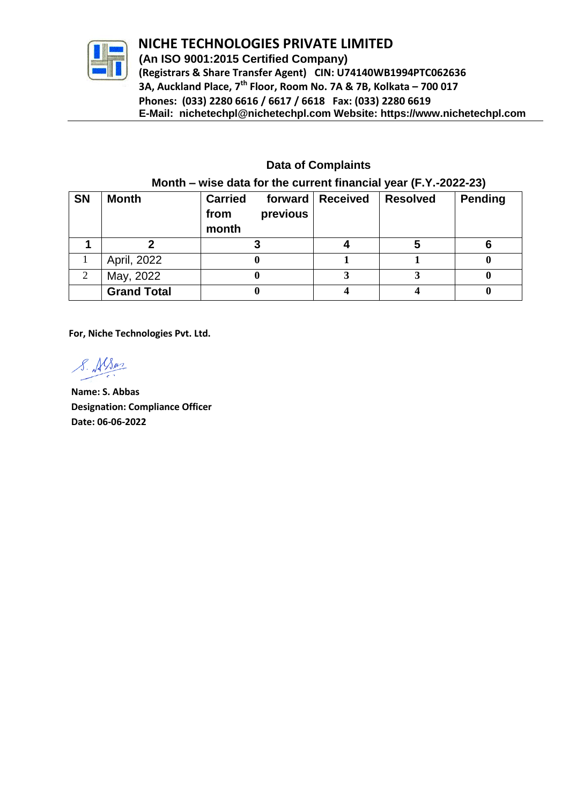

# **NIC NICHE TECHNOLOGIES PRIVATE LIMITED**

 **(An ISO 9001:2015 Certified Company) (Registrars & Share Transfer Agent) CIN: U74140WB1994PTC062636 3A, Auckland Place, 7th Floor, Room No. 7A & 7B, Kolkata – 700 017 Phones: (033) 2280 6616 / 6617 / 6618 Fax: (033) 2280 6619 E-Mail: nichetechpl@nichetechpl.com Website: https://www.nichetechpl.com**

## **Data of Complaints**

| <b>SN</b> | <b>Month</b>       | <b>Carried</b><br>forward<br>previous<br>from<br>month | Received | <b>Resolved</b> | <b>Pending</b> |  |  |
|-----------|--------------------|--------------------------------------------------------|----------|-----------------|----------------|--|--|
|           |                    |                                                        |          |                 |                |  |  |
|           | April, 2022        |                                                        |          |                 |                |  |  |
| 2         | May, 2022          |                                                        |          |                 |                |  |  |
|           | <b>Grand Total</b> |                                                        |          |                 |                |  |  |

#### **Month – wise data for the current financial year (F.Y.-2022-23)**

**For, Niche Technologies Pvt. Ltd.**

S. Alson

**Name: S. Abbas Designation: Compliance Officer Date: 06-06-2022**